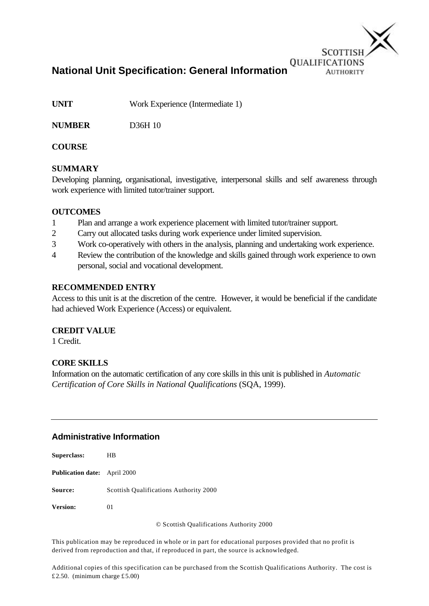

**National Unit Specification: General Information**

**UNIT** Work Experience (Intermediate 1)

**NUMBER** D36H 10

## **COURSE**

## **SUMMARY**

Developing planning, organisational, investigative, interpersonal skills and self awareness through work experience with limited tutor/trainer support.

## **OUTCOMES**

- 1 Plan and arrange a work experience placement with limited tutor/trainer support.
- 2 Carry out allocated tasks during work experience under limited supervision.
- 3 Work co-operatively with others in the analysis, planning and undertaking work experience.
- 4 Review the contribution of the knowledge and skills gained through work experience to own personal, social and vocational development.

## **RECOMMENDED ENTRY**

Access to this unit is at the discretion of the centre. However, it would be beneficial if the candidate had achieved Work Experience (Access) or equivalent.

## **CREDIT VALUE**

1 Credit.

## **CORE SKILLS**

Information on the automatic certification of any core skills in this unit is published in *Automatic Certification of Core Skills in National Qualifications* (SQA, 1999).

## **Administrative Information**

| <b>Superclass:</b>                  | HВ                                     |
|-------------------------------------|----------------------------------------|
| <b>Publication date:</b> April 2000 |                                        |
| <b>Source:</b>                      | Scottish Qualifications Authority 2000 |
| <b>Version:</b>                     | $^{01}$                                |

© Scottish Qualifications Authority 2000

This publication may be reproduced in whole or in part for educational purposes provided that no profit is derived from reproduction and that, if reproduced in part, the source is acknowledged.

Additional copies of this specification can be purchased from the Scottish Qualifications Authority. The cost is £2.50. (minimum charge £5.00)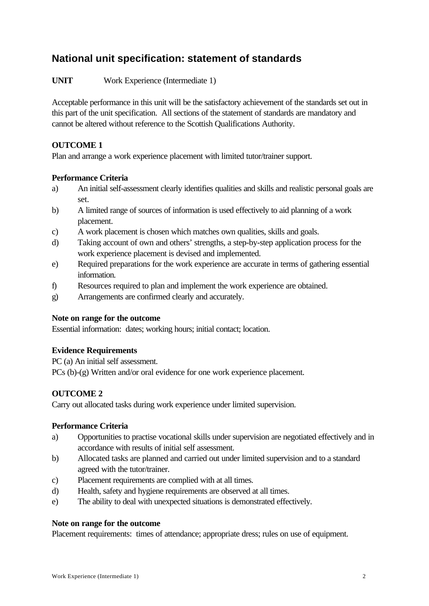# **National unit specification: statement of standards**

**UNIT** Work Experience (Intermediate 1)

Acceptable performance in this unit will be the satisfactory achievement of the standards set out in this part of the unit specification. All sections of the statement of standards are mandatory and cannot be altered without reference to the Scottish Qualifications Authority.

## **OUTCOME 1**

Plan and arrange a work experience placement with limited tutor/trainer support.

#### **Performance Criteria**

- a) An initial self-assessment clearly identifies qualities and skills and realistic personal goals are set.
- b) A limited range of sources of information is used effectively to aid planning of a work placement.
- c) A work placement is chosen which matches own qualities, skills and goals.
- d) Taking account of own and others' strengths, a step-by-step application process for the work experience placement is devised and implemented.
- e) Required preparations for the work experience are accurate in terms of gathering essential information.
- f) Resources required to plan and implement the work experience are obtained.
- g) Arrangements are confirmed clearly and accurately.

#### **Note on range for the outcome**

Essential information: dates; working hours; initial contact; location.

## **Evidence Requirements**

PC (a) An initial self assessment.

PCs (b)-(g) Written and/or oral evidence for one work experience placement.

## **OUTCOME 2**

Carry out allocated tasks during work experience under limited supervision.

## **Performance Criteria**

- a) Opportunities to practise vocational skills under supervision are negotiated effectively and in accordance with results of initial self assessment.
- b) Allocated tasks are planned and carried out under limited supervision and to a standard agreed with the tutor/trainer.
- c) Placement requirements are complied with at all times.
- d) Health, safety and hygiene requirements are observed at all times.
- e) The ability to deal with unexpected situations is demonstrated effectively.

#### **Note on range for the outcome**

Placement requirements: times of attendance; appropriate dress; rules on use of equipment.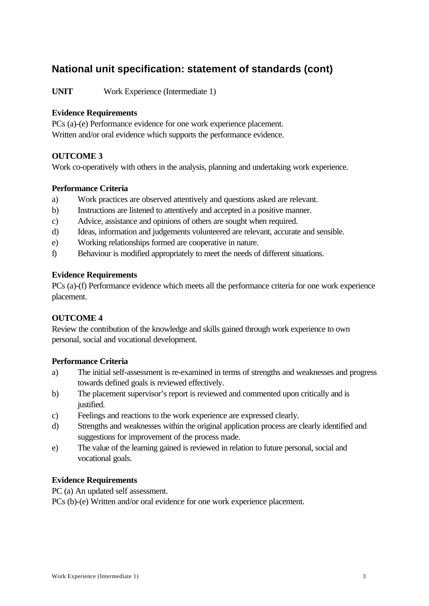# **National unit specification: statement of standards (cont)**

**UNIT** Work Experience (Intermediate 1)

## **Evidence Requirements**

PCs (a)-(e) Performance evidence for one work experience placement. Written and/or oral evidence which supports the performance evidence.

## **OUTCOME 3**

Work co-operatively with others in the analysis, planning and undertaking work experience.

## **Performance Criteria**

- a) Work practices are observed attentively and questions asked are relevant.
- b) Instructions are listened to attentively and accepted in a positive manner.
- c) Advice, assistance and opinions of others are sought when required.
- d) Ideas, information and judgements volunteered are relevant, accurate and sensible.
- e) Working relationships formed are cooperative in nature.
- f) Behaviour is modified appropriately to meet the needs of different situations.

#### **Evidence Requirements**

PCs (a)-(f) Performance evidence which meets all the performance criteria for one work experience placement.

## **OUTCOME 4**

Review the contribution of the knowledge and skills gained through work experience to own personal, social and vocational development.

## **Performance Criteria**

- a) The initial self-assessment is re-examined in terms of strengths and weaknesses and progress towards defined goals is reviewed effectively.
- b) The placement supervisor's report is reviewed and commented upon critically and is justified.
- c) Feelings and reactions to the work experience are expressed clearly.
- d) Strengths and weaknesses within the original application process are clearly identified and suggestions for improvement of the process made.
- e) The value of the learning gained is reviewed in relation to future personal, social and vocational goals.

## **Evidence Requirements**

PC (a) An updated self assessment.

PCs (b)-(e) Written and/or oral evidence for one work experience placement.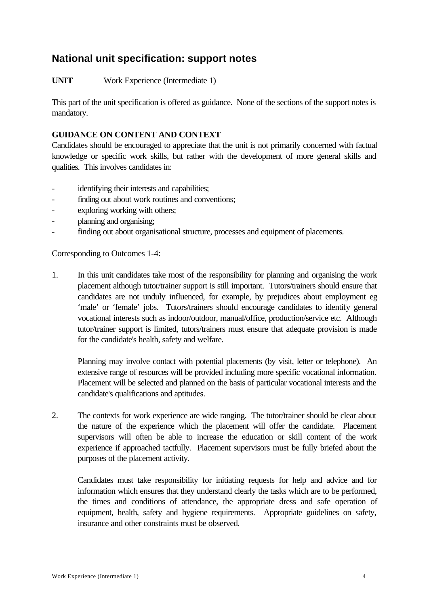# **National unit specification: support notes**

## **UNIT** Work Experience (Intermediate 1)

This part of the unit specification is offered as guidance. None of the sections of the support notes is mandatory.

### **GUIDANCE ON CONTENT AND CONTEXT**

Candidates should be encouraged to appreciate that the unit is not primarily concerned with factual knowledge or specific work skills, but rather with the development of more general skills and qualities. This involves candidates in:

- identifying their interests and capabilities;
- finding out about work routines and conventions;
- exploring working with others;
- planning and organising;
- finding out about organisational structure, processes and equipment of placements.

Corresponding to Outcomes 1-4:

1. In this unit candidates take most of the responsibility for planning and organising the work placement although tutor/trainer support is still important. Tutors/trainers should ensure that candidates are not unduly influenced, for example, by prejudices about employment eg 'male' or 'female' jobs. Tutors/trainers should encourage candidates to identify general vocational interests such as indoor/outdoor, manual/office, production/service etc. Although tutor/trainer support is limited, tutors/trainers must ensure that adequate provision is made for the candidate's health, safety and welfare.

Planning may involve contact with potential placements (by visit, letter or telephone). An extensive range of resources will be provided including more specific vocational information. Placement will be selected and planned on the basis of particular vocational interests and the candidate's qualifications and aptitudes.

2. The contexts for work experience are wide ranging. The tutor/trainer should be clear about the nature of the experience which the placement will offer the candidate. Placement supervisors will often be able to increase the education or skill content of the work experience if approached tactfully. Placement supervisors must be fully briefed about the purposes of the placement activity.

Candidates must take responsibility for initiating requests for help and advice and for information which ensures that they understand clearly the tasks which are to be performed, the times and conditions of attendance, the appropriate dress and safe operation of equipment, health, safety and hygiene requirements. Appropriate guidelines on safety, insurance and other constraints must be observed.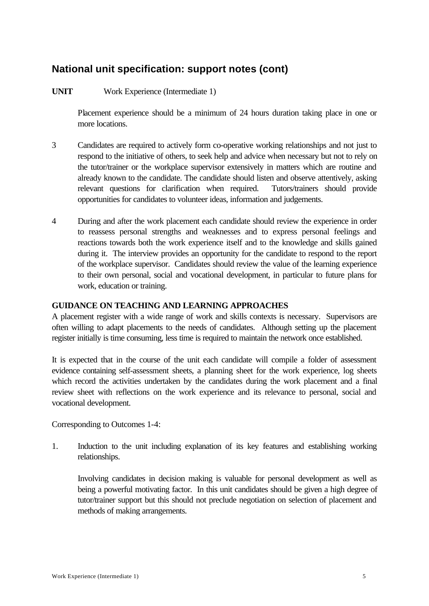# **National unit specification: support notes (cont)**

## **UNIT** Work Experience (Intermediate 1)

Placement experience should be a minimum of 24 hours duration taking place in one or more locations.

- 3 Candidates are required to actively form co-operative working relationships and not just to respond to the initiative of others, to seek help and advice when necessary but not to rely on the tutor/trainer or the workplace supervisor extensively in matters which are routine and already known to the candidate. The candidate should listen and observe attentively, asking relevant questions for clarification when required. Tutors/trainers should provide opportunities for candidates to volunteer ideas, information and judgements.
- 4 During and after the work placement each candidate should review the experience in order to reassess personal strengths and weaknesses and to express personal feelings and reactions towards both the work experience itself and to the knowledge and skills gained during it. The interview provides an opportunity for the candidate to respond to the report of the workplace supervisor. Candidates should review the value of the learning experience to their own personal, social and vocational development, in particular to future plans for work, education or training.

#### **GUIDANCE ON TEACHING AND LEARNING APPROACHES**

A placement register with a wide range of work and skills contexts is necessary. Supervisors are often willing to adapt placements to the needs of candidates. Although setting up the placement register initially is time consuming, less time is required to maintain the network once established.

It is expected that in the course of the unit each candidate will compile a folder of assessment evidence containing self-assessment sheets, a planning sheet for the work experience, log sheets which record the activities undertaken by the candidates during the work placement and a final review sheet with reflections on the work experience and its relevance to personal, social and vocational development.

Corresponding to Outcomes 1-4:

1. Induction to the unit including explanation of its key features and establishing working relationships.

Involving candidates in decision making is valuable for personal development as well as being a powerful motivating factor. In this unit candidates should be given a high degree of tutor/trainer support but this should not preclude negotiation on selection of placement and methods of making arrangements.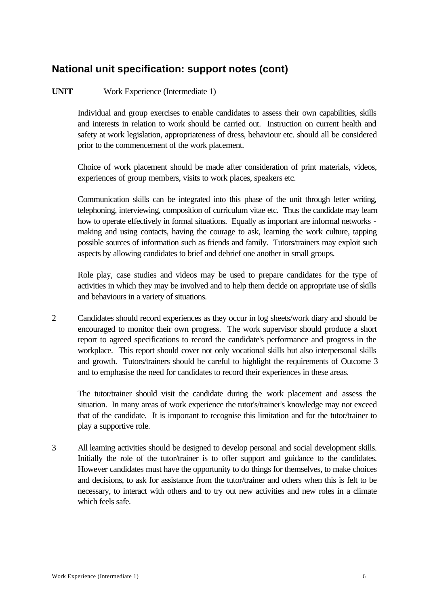# **National unit specification: support notes (cont)**

## **UNIT** Work Experience (Intermediate 1)

Individual and group exercises to enable candidates to assess their own capabilities, skills and interests in relation to work should be carried out. Instruction on current health and safety at work legislation, appropriateness of dress, behaviour etc. should all be considered prior to the commencement of the work placement.

Choice of work placement should be made after consideration of print materials, videos, experiences of group members, visits to work places, speakers etc.

Communication skills can be integrated into this phase of the unit through letter writing, telephoning, interviewing, composition of curriculum vitae etc. Thus the candidate may learn how to operate effectively in formal situations. Equally as important are informal networks making and using contacts, having the courage to ask, learning the work culture, tapping possible sources of information such as friends and family. Tutors/trainers may exploit such aspects by allowing candidates to brief and debrief one another in small groups.

Role play, case studies and videos may be used to prepare candidates for the type of activities in which they may be involved and to help them decide on appropriate use of skills and behaviours in a variety of situations.

2 Candidates should record experiences as they occur in log sheets/work diary and should be encouraged to monitor their own progress. The work supervisor should produce a short report to agreed specifications to record the candidate's performance and progress in the workplace. This report should cover not only vocational skills but also interpersonal skills and growth. Tutors/trainers should be careful to highlight the requirements of Outcome 3 and to emphasise the need for candidates to record their experiences in these areas.

The tutor/trainer should visit the candidate during the work placement and assess the situation. In many areas of work experience the tutor's/trainer's knowledge may not exceed that of the candidate. It is important to recognise this limitation and for the tutor/trainer to play a supportive role.

3 All learning activities should be designed to develop personal and social development skills. Initially the role of the tutor/trainer is to offer support and guidance to the candidates. However candidates must have the opportunity to do things for themselves, to make choices and decisions, to ask for assistance from the tutor/trainer and others when this is felt to be necessary, to interact with others and to try out new activities and new roles in a climate which feels safe.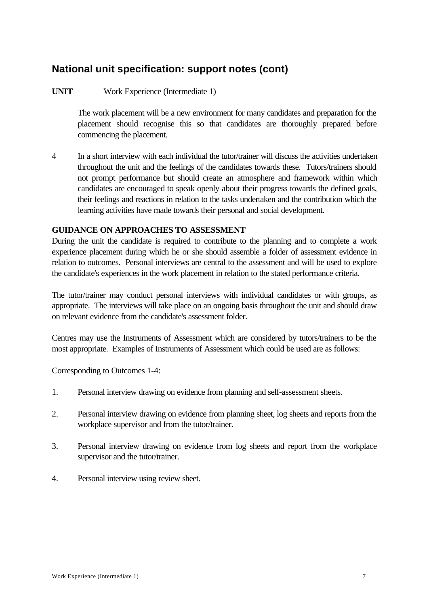# **National unit specification: support notes (cont)**

## **UNIT** Work Experience (Intermediate 1)

The work placement will be a new environment for many candidates and preparation for the placement should recognise this so that candidates are thoroughly prepared before commencing the placement.

4 In a short interview with each individual the tutor/trainer will discuss the activities undertaken throughout the unit and the feelings of the candidates towards these. Tutors/trainers should not prompt performance but should create an atmosphere and framework within which candidates are encouraged to speak openly about their progress towards the defined goals, their feelings and reactions in relation to the tasks undertaken and the contribution which the learning activities have made towards their personal and social development.

#### **GUIDANCE ON APPROACHES TO ASSESSMENT**

During the unit the candidate is required to contribute to the planning and to complete a work experience placement during which he or she should assemble a folder of assessment evidence in relation to outcomes. Personal interviews are central to the assessment and will be used to explore the candidate's experiences in the work placement in relation to the stated performance criteria.

The tutor/trainer may conduct personal interviews with individual candidates or with groups, as appropriate. The interviews will take place on an ongoing basis throughout the unit and should draw on relevant evidence from the candidate's assessment folder.

Centres may use the Instruments of Assessment which are considered by tutors/trainers to be the most appropriate. Examples of Instruments of Assessment which could be used are as follows:

Corresponding to Outcomes 1-4:

- 1. Personal interview drawing on evidence from planning and self-assessment sheets.
- 2. Personal interview drawing on evidence from planning sheet, log sheets and reports from the workplace supervisor and from the tutor/trainer.
- 3. Personal interview drawing on evidence from log sheets and report from the workplace supervisor and the tutor/trainer.
- 4. Personal interview using review sheet.